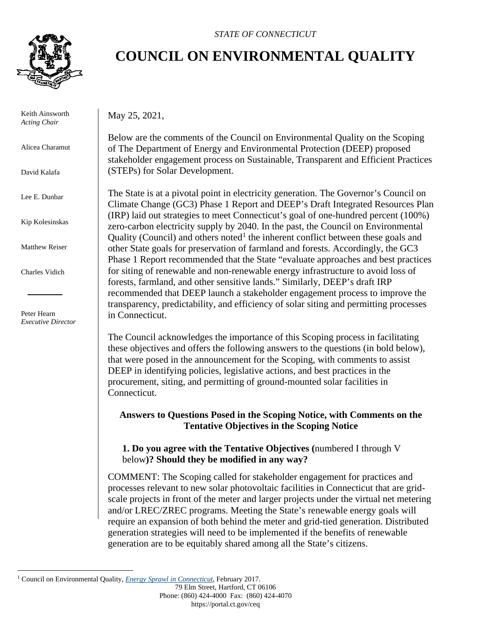

 Keith Ainsworth *Acting Chair*

Alicea Charamut

David Kalafa

Lee E. Dunbar

Kip Kolesinskas

Matthew Reiser

Charles Vidich

 Peter Hearn *Executive Director*

#### *STATE OF CONNECTICUT*

# **COUNCIL ON ENVIRONMENTAL QUALITY**

May 25, 2021,

Below are the comments of the Council on Environmental Quality on the Scoping of The Department of Energy and Environmental Protection (DEEP) proposed stakeholder engagement process on Sustainable, Transparent and Efficient Practices (STEPs) for Solar Development.

The State is at a pivotal point in electricity generation. The Governor's Council on Climate Change (GC3) Phase 1 Report and DEEP's Draft Integrated Resources Plan (IRP) laid out strategies to meet Connecticut's goal of one-hundred percent (100%) zero-carbon electricity supply by 2040. In the past, the Council on Environmental Quality (Council) and others noted<sup>[1](#page-0-0)</sup> the inherent conflict between these goals and other State goals for preservation of farmland and forests. Accordingly, the GC3 Phase 1 Report recommended that the State "evaluate approaches and best practices for siting of renewable and non-renewable energy infrastructure to avoid loss of forests, farmland, and other sensitive lands." Similarly, DEEP's draft IRP recommended that DEEP launch a stakeholder engagement process to improve the transparency, predictability, and efficiency of solar siting and permitting processes in Connecticut.

The Council acknowledges the importance of this Scoping process in facilitating these objectives and offers the following answers to the questions (in bold below), that were posed in the announcement for the Scoping, with comments to assist DEEP in identifying policies, legislative actions, and best practices in the procurement, siting, and permitting of ground-mounted solar facilities in Connecticut.

# **Answers to Questions Posed in the Scoping Notice, with Comments on the Tentative Objectives in the Scoping Notice**

**1. Do you agree with the Tentative Objectives (**numbered I through V below**)? Should they be modified in any way?**

COMMENT: The Scoping called for stakeholder engagement for practices and processes relevant to new solar photovoltaic facilities in Connecticut that are gridscale projects in front of the meter and larger projects under the virtual net metering and/or LREC/ZREC programs. Meeting the State's renewable energy goals will require an expansion of both behind the meter and grid-tied generation. Distributed generation strategies will need to be implemented if the benefits of renewable generation are to be equitably shared among all the State's citizens.

<span id="page-0-0"></span><sup>1</sup> Council on Environmental Quality, *[Energy Sprawl in Connecticut](https://portal.ct.gov/-/media/CEQ/EnergySprawlinConnecticutpdf.pdf)*, February 2017.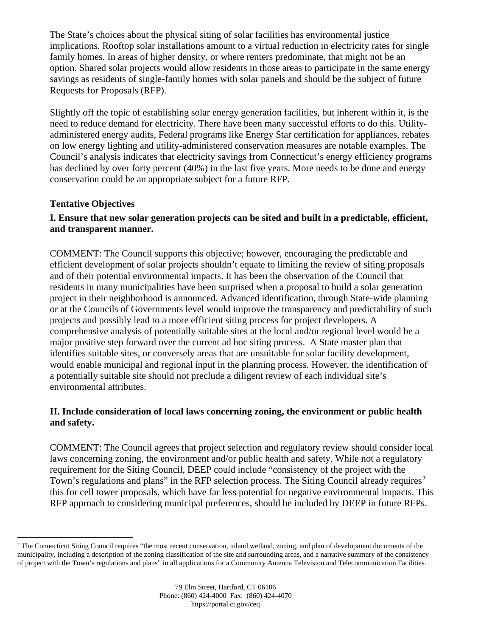The State's choices about the physical siting of solar facilities has environmental justice implications. Rooftop solar installations amount to a virtual reduction in electricity rates for single family homes. In areas of higher density, or where renters predominate, that might not be an option. Shared solar projects would allow residents in those areas to participate in the same energy savings as residents of single-family homes with solar panels and should be the subject of future Requests for Proposals (RFP).

Slightly off the topic of establishing solar energy generation facilities, but inherent within it, is the need to reduce demand for electricity. There have been many successful efforts to do this. Utilityadministered energy audits, Federal programs like Energy Star certification for appliances, rebates on low energy lighting and utility-administered conservation measures are notable examples. The Council's analysis indicates that electricity savings from Connecticut's energy efficiency programs has declined by over forty percent (40%) in the last five years. More needs to be done and energy conservation could be an appropriate subject for a future RFP.

## **Tentative Objectives**

# **I. Ensure that new solar generation projects can be sited and built in a predictable, efficient, and transparent manner.**

COMMENT: The Council supports this objective; however, encouraging the predictable and efficient development of solar projects shouldn't equate to limiting the review of siting proposals and of their potential environmental impacts. It has been the observation of the Council that residents in many municipalities have been surprised when a proposal to build a solar generation project in their neighborhood is announced. Advanced identification, through State-wide planning or at the Councils of Governments level would improve the transparency and predictability of such projects and possibly lead to a more efficient siting process for project developers. A comprehensive analysis of potentially suitable sites at the local and/or regional level would be a major positive step forward over the current ad hoc siting process. A State master plan that identifies suitable sites, or conversely areas that are unsuitable for solar facility development, would enable municipal and regional input in the planning process. However, the identification of a potentially suitable site should not preclude a diligent review of each individual site's environmental attributes.

## **II. Include consideration of local laws concerning zoning, the environment or public health and safety.**

COMMENT: The Council agrees that project selection and regulatory review should consider local laws concerning zoning, the environment and/or public health and safety. While not a regulatory requirement for the Siting Council, DEEP could include "consistency of the project with the Town's regulations and plans" in the RFP selection process. The Siting Council already requires<sup>[2](#page-1-0)</sup> this for cell tower proposals, which have far less potential for negative environmental impacts. This RFP approach to considering municipal preferences, should be included by DEEP in future RFPs.

<span id="page-1-0"></span><sup>&</sup>lt;sup>2</sup> The Connecticut Siting Council requires "the most recent conservation, inland wetland, zoning, and plan of development documents of the municipality, including a description of the zoning classification of the site and surrounding areas, and a narrative summary of the consistency of project with the Town's regulations and plans" in all applications for a Community Antenna Television and Telecommunication Facilities.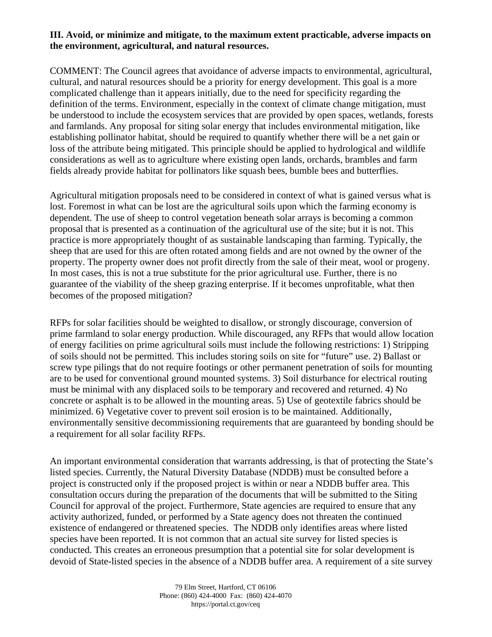#### **III. Avoid, or minimize and mitigate, to the maximum extent practicable, adverse impacts on the environment, agricultural, and natural resources.**

COMMENT: The Council agrees that avoidance of adverse impacts to environmental, agricultural, cultural, and natural resources should be a priority for energy development. This goal is a more complicated challenge than it appears initially, due to the need for specificity regarding the definition of the terms. Environment, especially in the context of climate change mitigation, must be understood to include the ecosystem services that are provided by open spaces, wetlands, forests and farmlands. Any proposal for siting solar energy that includes environmental mitigation, like establishing pollinator habitat, should be required to quantify whether there will be a net gain or loss of the attribute being mitigated. This principle should be applied to hydrological and wildlife considerations as well as to agriculture where existing open lands, orchards, brambles and farm fields already provide habitat for pollinators like squash bees, bumble bees and butterflies.

Agricultural mitigation proposals need to be considered in context of what is gained versus what is lost. Foremost in what can be lost are the agricultural soils upon which the farming economy is dependent. The use of sheep to control vegetation beneath solar arrays is becoming a common proposal that is presented as a continuation of the agricultural use of the site; but it is not. This practice is more appropriately thought of as sustainable landscaping than farming. Typically, the sheep that are used for this are often rotated among fields and are not owned by the owner of the property. The property owner does not profit directly from the sale of their meat, wool or progeny. In most cases, this is not a true substitute for the prior agricultural use. Further, there is no guarantee of the viability of the sheep grazing enterprise. If it becomes unprofitable, what then becomes of the proposed mitigation?

RFPs for solar facilities should be weighted to disallow, or strongly discourage, conversion of prime farmland to solar energy production. While discouraged, any RFPs that would allow location of energy facilities on prime agricultural soils must include the following restrictions: 1) Stripping of soils should not be permitted. This includes storing soils on site for "future" use. 2) Ballast or screw type pilings that do not require footings or other permanent penetration of soils for mounting are to be used for conventional ground mounted systems. 3) Soil disturbance for electrical routing must be minimal with any displaced soils to be temporary and recovered and returned. 4) No concrete or asphalt is to be allowed in the mounting areas. 5) Use of geotextile fabrics should be minimized. 6) Vegetative cover to prevent soil erosion is to be maintained. Additionally, environmentally sensitive decommissioning requirements that are guaranteed by bonding should be a requirement for all solar facility RFPs.

An important environmental consideration that warrants addressing, is that of protecting the State's listed species. Currently, the Natural Diversity Database (NDDB) must be consulted before a project is constructed only if the proposed project is within or near a NDDB buffer area. This consultation occurs during the preparation of the documents that will be submitted to the Siting Council for approval of the project. Furthermore, State agencies are required to ensure that any activity authorized, funded, or performed by a State agency does not threaten the continued existence of endangered or threatened species. The NDDB only identifies areas where listed species have been reported. It is not common that an actual site survey for listed species is conducted. This creates an erroneous presumption that a potential site for solar development is devoid of State-listed species in the absence of a NDDB buffer area. A requirement of a site survey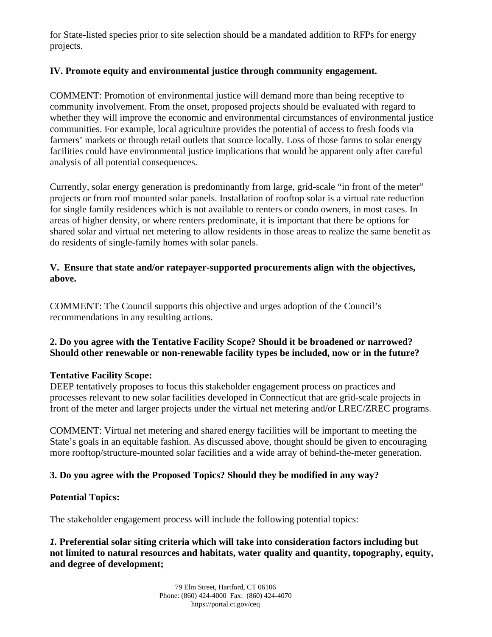for State-listed species prior to site selection should be a mandated addition to RFPs for energy projects.

#### **IV. Promote equity and environmental justice through community engagement.**

COMMENT: Promotion of environmental justice will demand more than being receptive to community involvement. From the onset, proposed projects should be evaluated with regard to whether they will improve the economic and environmental circumstances of environmental justice communities. For example, local agriculture provides the potential of access to fresh foods via farmers' markets or through retail outlets that source locally. Loss of those farms to solar energy facilities could have environmental justice implications that would be apparent only after careful analysis of all potential consequences.

Currently, solar energy generation is predominantly from large, grid-scale "in front of the meter" projects or from roof mounted solar panels. Installation of rooftop solar is a virtual rate reduction for single family residences which is not available to renters or condo owners, in most cases. In areas of higher density, or where renters predominate, it is important that there be options for shared solar and virtual net metering to allow residents in those areas to realize the same benefit as do residents of single-family homes with solar panels.

#### **V. Ensure that state and/or ratepayer-supported procurements align with the objectives, above.**

COMMENT: The Council supports this objective and urges adoption of the Council's recommendations in any resulting actions.

#### **2. Do you agree with the Tentative Facility Scope? Should it be broadened or narrowed? Should other renewable or non-renewable facility types be included, now or in the future?**

#### **Tentative Facility Scope:**

DEEP tentatively proposes to focus this stakeholder engagement process on practices and processes relevant to new solar facilities developed in Connecticut that are grid-scale projects in front of the meter and larger projects under the virtual net metering and/or LREC/ZREC programs.

COMMENT: Virtual net metering and shared energy facilities will be important to meeting the State's goals in an equitable fashion. As discussed above, thought should be given to encouraging more rooftop/structure-mounted solar facilities and a wide array of behind-the-meter generation.

## **3. Do you agree with the Proposed Topics? Should they be modified in any way?**

## **Potential Topics:**

The stakeholder engagement process will include the following potential topics:

*1.* **Preferential solar siting criteria which will take into consideration factors including but not limited to natural resources and habitats, water quality and quantity, topography, equity, and degree of development;**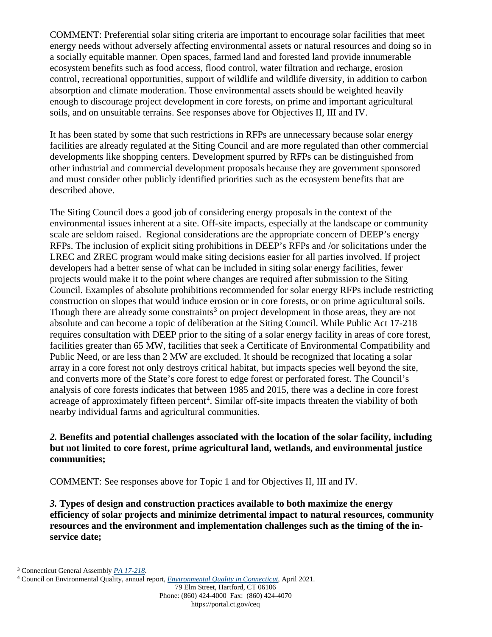COMMENT: Preferential solar siting criteria are important to encourage solar facilities that meet energy needs without adversely affecting environmental assets or natural resources and doing so in a socially equitable manner. Open spaces, farmed land and forested land provide innumerable ecosystem benefits such as food access, flood control, water filtration and recharge, erosion control, recreational opportunities, support of wildlife and wildlife diversity, in addition to carbon absorption and climate moderation. Those environmental assets should be weighted heavily enough to discourage project development in core forests, on prime and important agricultural soils, and on unsuitable terrains. See responses above for Objectives II, III and IV.

It has been stated by some that such restrictions in RFPs are unnecessary because solar energy facilities are already regulated at the Siting Council and are more regulated than other commercial developments like shopping centers. Development spurred by RFPs can be distinguished from other industrial and commercial development proposals because they are government sponsored and must consider other publicly identified priorities such as the ecosystem benefits that are described above.

The Siting Council does a good job of considering energy proposals in the context of the environmental issues inherent at a site. Off-site impacts, especially at the landscape or community scale are seldom raised. Regional considerations are the appropriate concern of DEEP's energy RFPs. The inclusion of explicit siting prohibitions in DEEP's RFPs and /or solicitations under the LREC and ZREC program would make siting decisions easier for all parties involved. If project developers had a better sense of what can be included in siting solar energy facilities, fewer projects would make it to the point where changes are required after submission to the Siting Council. Examples of absolute prohibitions recommended for solar energy RFPs include restricting construction on slopes that would induce erosion or in core forests, or on prime agricultural soils. Though there are already some constraints<sup>[3](#page-4-0)</sup> on project development in those areas, they are not absolute and can become a topic of deliberation at the Siting Council. While Public Act 17-218 requires consultation with DEEP prior to the siting of a solar energy facility in areas of core forest, facilities greater than 65 MW, facilities that seek a Certificate of Environmental Compatibility and Public Need, or are less than 2 MW are excluded. It should be recognized that locating a solar array in a core forest not only destroys critical habitat, but impacts species well beyond the site, and converts more of the State's core forest to edge forest or perforated forest. The Council's analysis of core forests indicates that between 1985 and 2015, there was a decline in core forest acreage of approximately fifteen percent<sup>[4](#page-4-1)</sup>. Similar off-site impacts threaten the viability of both nearby individual farms and agricultural communities.

#### *2.* **Benefits and potential challenges associated with the location of the solar facility, including but not limited to core forest, prime agricultural land, wetlands, and environmental justice communities;**

COMMENT: See responses above for Topic 1 and for Objectives II, III and IV.

*3.* **Types of design and construction practices available to both maximize the energy efficiency of solar projects and minimize detrimental impact to natural resources, community resources and the environment and implementation challenges such as the timing of the inservice date;**

<span id="page-4-0"></span><sup>3</sup> Connecticut General Assembly *[PA 17-218](https://www.cga.ct.gov/2017/act/pa/pdf/2017PA-00218-R00SB-00943-PA.pdf)*.

<span id="page-4-1"></span><sup>4</sup> Council on Environmental Quality, annual report, *[Environmental Quality in Connecticut](https://portal.ct.gov/CEQ/AR-20-Gold/2020-CEQ-Annual-Report-eBook/Land-Preserved_Land/Forests)*, April 2021.

<sup>79</sup> Elm Street, Hartford, CT 06106 Phone: (860) 424-4000 Fax: (860) 424-4070 https://portal.ct.gov/ceq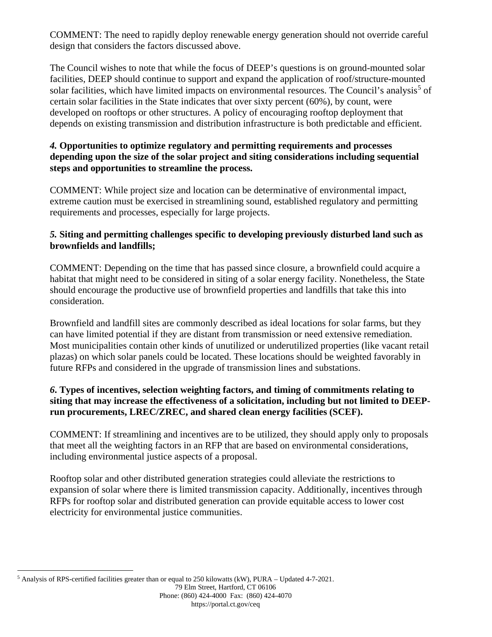COMMENT: The need to rapidly deploy renewable energy generation should not override careful design that considers the factors discussed above.

The Council wishes to note that while the focus of DEEP's questions is on ground-mounted solar facilities, DEEP should continue to support and expand the application of roof/structure-mounted solar facilities, which have limited impacts on environmental resources. The Council's analysis<sup>[5](#page-5-0)</sup> of certain solar facilities in the State indicates that over sixty percent (60%), by count, were developed on rooftops or other structures. A policy of encouraging rooftop deployment that depends on existing transmission and distribution infrastructure is both predictable and efficient.

## *4.* **Opportunities to optimize regulatory and permitting requirements and processes depending upon the size of the solar project and siting considerations including sequential steps and opportunities to streamline the process.**

COMMENT: While project size and location can be determinative of environmental impact, extreme caution must be exercised in streamlining sound, established regulatory and permitting requirements and processes, especially for large projects.

# *5.* **Siting and permitting challenges specific to developing previously disturbed land such as brownfields and landfills;**

COMMENT: Depending on the time that has passed since closure, a brownfield could acquire a habitat that might need to be considered in siting of a solar energy facility. Nonetheless, the State should encourage the productive use of brownfield properties and landfills that take this into consideration.

Brownfield and landfill sites are commonly described as ideal locations for solar farms, but they can have limited potential if they are distant from transmission or need extensive remediation. Most municipalities contain other kinds of unutilized or underutilized properties (like vacant retail plazas) on which solar panels could be located. These locations should be weighted favorably in future RFPs and considered in the upgrade of transmission lines and substations.

# *6***. Types of incentives, selection weighting factors, and timing of commitments relating to siting that may increase the effectiveness of a solicitation, including but not limited to DEEPrun procurements, LREC/ZREC, and shared clean energy facilities (SCEF).**

COMMENT: If streamlining and incentives are to be utilized, they should apply only to proposals that meet all the weighting factors in an RFP that are based on environmental considerations, including environmental justice aspects of a proposal.

Rooftop solar and other distributed generation strategies could alleviate the restrictions to expansion of solar where there is limited transmission capacity. Additionally, incentives through RFPs for rooftop solar and distributed generation can provide equitable access to lower cost electricity for environmental justice communities.

<span id="page-5-0"></span><sup>5</sup> Analysis of RPS-certified facilities greater than or equal to 250 kilowatts (kW), PURA – Updated 4-7-2021.